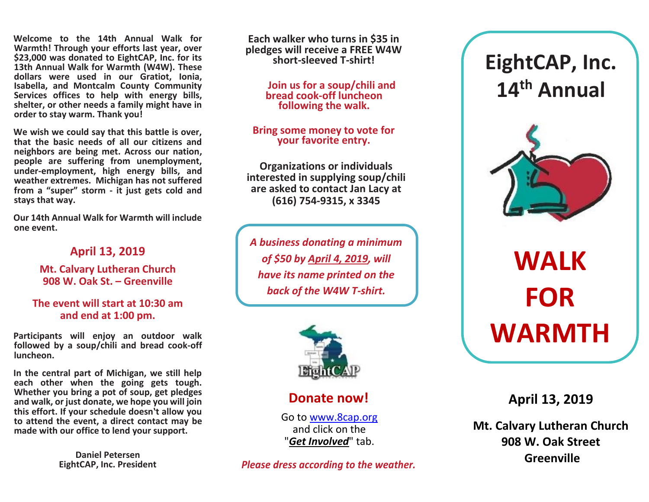**Welcome to the 14th Annual Walk for Warmth! Through your efforts last year, over \$23,000 was donated to EightCAP, Inc. for its 13th Annual Walk for Warmth (W4W). These dollars were used in our Gratiot, Ionia, Isabella, and Montcalm County Community Services offices to help with energy bills, shelter, or other needs a family might have in order to stay warm. Thank you!**

**We wish we could say that this battle is over, that the basic needs of all our citizens and neighbors are being met. Across our nation, people are suffering from unemployment, under-employment, high energy bills, and weather extremes. Michigan has not suffered from a "super" storm - it just gets cold and stays that way.**

**Our 14th Annual Walk for Warmth will include one event.** 

### **April 13, 2019**

**Mt. Calvary Lutheran Church 908 W. Oak St. – Greenville**

### **The event will start at 10:30 am and end at 1:00 pm.**

**Participants will enjoy an outdoor walk followed by a soup/chili and bread cook-off luncheon.**

**In the central part of Michigan, we still help each other when the going gets tough. Whether you bring a pot of soup, get pledges and walk, or just donate, we hope you will join this effort. If your schedule doesn't allow you to attend the event, a direct contact may be made with our office to lend your support.**

> **Daniel Petersen EightCAP, Inc. President**

**Each walker who turns in \$35 in pledges will receive a FREE W4W short-sleeved T-shirt!**

> **Join us for a soup/chili and bread cook-off luncheon following the walk.**

**Bring some money to vote for your favorite entry.**

**Organizations or individuals interested in supplying soup/chili are asked to contact Jan Lacy at (616) 754-9315, x 3345**

*A business donating a minimum of \$50 by April 4, 2019, will have its name printed on the back of the W4W T-shirt.*



**Donate now!**

Go to www.[8cap.org](http://www.8cap.org/) [and click o](http://www.8cap.org/)n the "*Get Involved*" tab.

*Please dress according to the weather.*

# **EightCAP, Inc. 14 th Annual**



# **WALK FOR WARMTH**

**April 13, 2019**

**Mt. Calvary Lutheran Church 908 W. Oak Street Greenville**